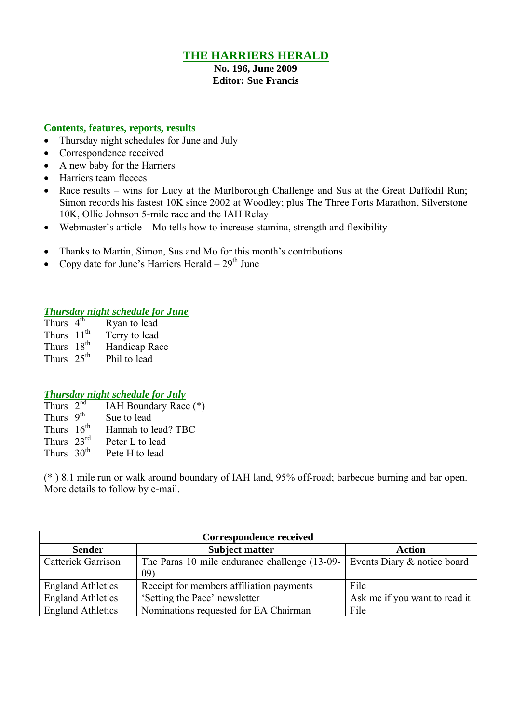## **THE HARRIERS HERALD**

**No. 196, June 2009 Editor: Sue Francis**

#### **Contents, features, reports, results**

- Thursday night schedules for June and July
- Correspondence received
- A new baby for the Harriers
- Harriers team fleeces
- Race results wins for Lucy at the Marlborough Challenge and Sus at the Great Daffodil Run; Simon records his fastest 10K since 2002 at Woodley; plus The Three Forts Marathon, Silverstone 10K, Ollie Johnson 5-mile race and the IAH Relay
- Webmaster's article Mo tells how to increase stamina, strength and flexibility
- Thanks to Martin, Simon, Sus and Mo for this month's contributions
- Copy date for June's Harriers Herald  $29<sup>th</sup>$  June

## *Thursday night schedule for June*

| Thurs $4th$            | Ryan to lead  |
|------------------------|---------------|
| Thurs $11th$           | Terry to lead |
| Thurs 18 <sup>th</sup> | Handicap Race |
| Thurs $25th$           | Phil to lead  |

## *Thursday night schedule for July*

| Thurs $2^{\overline{nd}}$ | IAH Boundary Race (*) |
|---------------------------|-----------------------|
| Thurs $9th$               | Sue to lead           |
| Thurs $16^{th}$           | Hannah to lead? TBC   |
| Thurs $23^{\text{rd}}$    | Peter L to lead       |
| Thurs $30th$              | Pete H to lead        |

(\* ) 8.1 mile run or walk around boundary of IAH land, 95% off-road; barbecue burning and bar open. More details to follow by e-mail.

| <b>Correspondence received</b> |                                               |                               |  |
|--------------------------------|-----------------------------------------------|-------------------------------|--|
| <b>Sender</b>                  | <b>Subject matter</b>                         | <b>Action</b>                 |  |
| <b>Catterick Garrison</b>      | The Paras 10 mile endurance challenge (13-09- | Events Diary & notice board   |  |
|                                | (09)                                          |                               |  |
| <b>England Athletics</b>       | Receipt for members affiliation payments      | File                          |  |
| <b>England Athletics</b>       | 'Setting the Pace' newsletter                 | Ask me if you want to read it |  |
| <b>England Athletics</b>       | Nominations requested for EA Chairman         | File                          |  |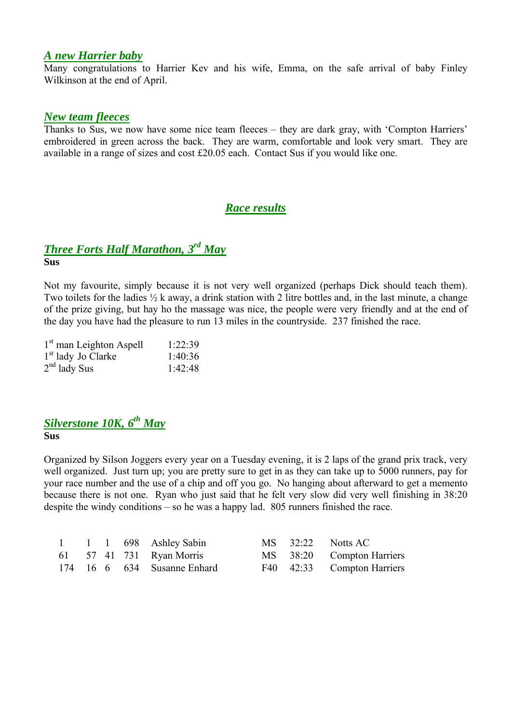## *A new Harrier baby*

Many congratulations to Harrier Kev and his wife, Emma, on the safe arrival of baby Finley Wilkinson at the end of April.

## *New team fleeces*

Thanks to Sus, we now have some nice team fleeces – they are dark gray, with 'Compton Harriers' embroidered in green across the back. They are warm, comfortable and look very smart. They are available in a range of sizes and cost É20.05 each. Contact Sus if you would like one.

# *Race results*

## *Three Forts Half Marathon, 3 rd May* **Sus**

Not my favourite, simply because it is not very well organized (perhaps Dick should teach them). Two toilets for the ladies  $\frac{1}{2}$  k away, a drink station with 2 litre bottles and, in the last minute, a change of the prize giving, but hay ho the massage was nice, the people were very friendly and at the end of the day you have had the pleasure to run 13 miles in the countryside. 237 finished the race.

| 1 <sup>st</sup> man Leighton Aspell | 1:22:39 |
|-------------------------------------|---------|
| 1 <sup>st</sup> lady Jo Clarke      | 1:40:36 |
| 2 <sup>nd</sup> lady Sus            | 1:42:48 |

#### *Silverstone 10K, 6 th May* **Sus**

Organized by Silson Joggers every year on a Tuesday evening, it is 2 laps of the grand prix track, very well organized. Just turn up; you are pretty sure to get in as they can take up to 5000 runners, pay for your race number and the use of a chip and off you go. No hanging about afterward to get a memento because there is not one. Ryan who just said that he felt very slow did very well finishing in 38:20 despite the windy conditions – so he was a happy lad. 805 runners finished the race.

|  |  | $1 \quad 1 \quad 1 \quad 698$ Ashley Sabin |  | $MS = 32:22$ Notts AC      |
|--|--|--------------------------------------------|--|----------------------------|
|  |  | 61 57 41 731 Ryan Morris                   |  | MS 38:20 Compton Harriers  |
|  |  | 174 16 6 634 Susanne Enhard                |  | F40 42:33 Compton Harriers |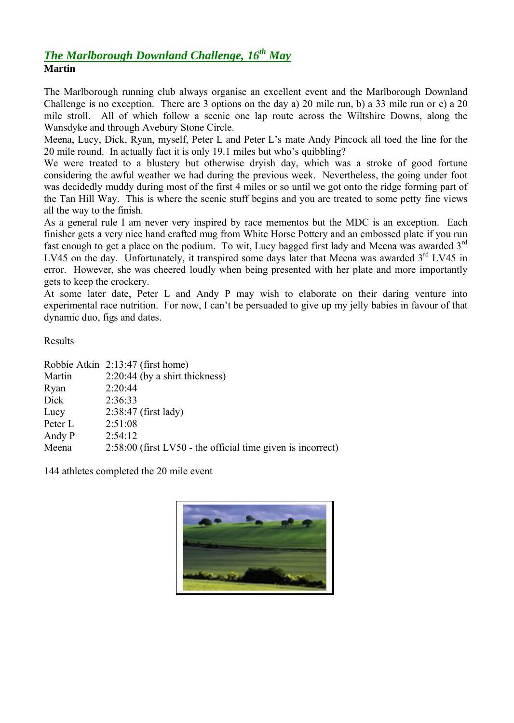# *The Marlborough Downland Challenge, 16th May* **Martin**

The Marlborough running club always organise an excellent event and the Marlborough Downland Challenge is no exception. There are 3 options on the day a) 20 mile run, b) a 33 mile run or c) a 20 mile stroll. All of which follow a scenic one lap route across the Wiltshire Downs, along the Wansdyke and through Avebury Stone Circle.

Meena, Lucy, Dick, Ryan, myself, Peter L and Peter L's mate Andy Pincock all toed the line for the 20 mile round. In actually fact it is only 19.1 miles but who's quibbling?

We were treated to a blustery but otherwise dryish day, which was a stroke of good fortune considering the awful weather we had during the previous week. Nevertheless, the going under foot was decidedly muddy during most of the first 4 miles or so until we got onto the ridge forming part of the Tan Hill Way. This is where the scenic stuff begins and you are treated to some petty fine views all the way to the finish.

As a general rule I am never very inspired by race mementos but the MDC is an exception. Each finisher gets a very nice hand crafted mug from White Horse Pottery and an embossed plate if you run fast enough to get a place on the podium. To wit, Lucy bagged first lady and Meena was awarded 3<sup>rd</sup> LV45 on the day. Unfortunately, it transpired some days later that Meena was awarded  $3<sup>rd</sup>$  LV45 in error. However, she was cheered loudly when being presented with her plate and more importantly gets to keep the crockery.

At some later date, Peter L and Andy P may wish to elaborate on their daring venture into experimental race nutrition. For now, I can't be persuaded to give up my jelly babies in favour of that dynamic duo, figs and dates.

Results

| Robbie Atkin 2:13:47 (first home)                             |
|---------------------------------------------------------------|
| $2:20:44$ (by a shirt thickness)                              |
| 2:20:44                                                       |
| 2:36:33                                                       |
| $2:38:47$ (first lady)                                        |
| 2:51:08                                                       |
| 2:54:12                                                       |
| $2:58:00$ (first LV50 - the official time given is incorrect) |
|                                                               |

144 athletes completed the 20 mile event

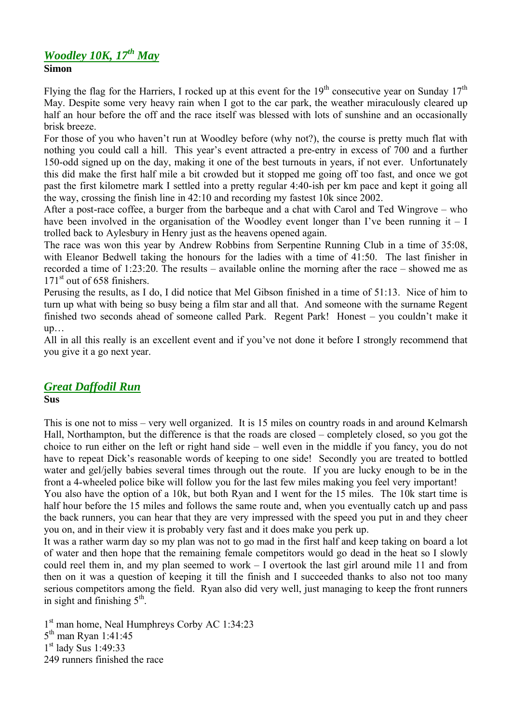## *Woodley 10K, 17th May* **Simon**

Flying the flag for the Harriers, I rocked up at this event for the  $19<sup>th</sup>$  consecutive year on Sunday  $17<sup>th</sup>$ May. Despite some very heavy rain when I got to the car park, the weather miraculously cleared up half an hour before the off and the race itself was blessed with lots of sunshine and an occasionally brisk breeze.

For those of you who haven't run at Woodley before (why not?), the course is pretty much flat with nothing you could call a hill. This year's event attracted a pre-entry in excess of 700 and a further 150-odd signed up on the day, making it one of the best turnouts in years, if not ever. Unfortunately this did make the first half mile a bit crowded but it stopped me going off too fast, and once we got past the first kilometre mark I settled into a pretty regular 4:40-ish per km pace and kept it going all the way, crossing the finish line in 42:10 and recording my fastest 10k since 2002.

After a post-race coffee, a burger from the barbeque and a chat with Carol and Ted Wingrove – who have been involved in the organisation of the Woodley event longer than I've been running it  $-1$ trolled back to Aylesbury in Henry just as the heavens opened again.

The race was won this year by Andrew Robbins from Serpentine Running Club in a time of 35:08, with Eleanor Bedwell taking the honours for the ladies with a time of 41:50. The last finisher in recorded a time of 1:23:20. The results – available online the morning after the race – showed me as  $171<sup>st</sup>$  out of 658 finishers.

Perusing the results, as I do, I did notice that Mel Gibson finished in a time of 51:13. Nice of him to turn up what with being so busy being a film star and all that. And someone with the surname Regent finished two seconds ahead of someone called Park. Regent Park! Honest – you couldn't make it up…

All in all this really is an excellent event and if you've not done it before I strongly recommend that you give it a go next year.

## *Great Daffodil Run*

**Sus**

This is one not to miss – very well organized. It is 15 miles on country roads in and around Kelmarsh Hall, Northampton, but the difference is that the roads are closed – completely closed, so you got the choice to run either on the left or right hand side – well even in the middle if you fancy, you do not have to repeat Dick's reasonable words of keeping to one side! Secondly you are treated to bottled water and gel/jelly babies several times through out the route. If you are lucky enough to be in the front a 4-wheeled police bike will follow you for the last few miles making you feel very important!

You also have the option of a 10k, but both Ryan and I went for the 15 miles. The 10k start time is half hour before the 15 miles and follows the same route and, when you eventually catch up and pass the back runners, you can hear that they are very impressed with the speed you put in and they cheer you on, and in their view it is probably very fast and it does make you perk up.

It was a rather warm day so my plan was not to go mad in the first half and keep taking on board a lot of water and then hope that the remaining female competitors would go dead in the heat so I slowly could reel them in, and my plan seemed to work – I overtook the last girl around mile 11 and from then on it was a question of keeping it till the finish and I succeeded thanks to also not too many serious competitors among the field. Ryan also did very well, just managing to keep the front runners in sight and finishing  $5<sup>th</sup>$ .

1 st man home, Neal Humphreys Corby AC 1:34:23 5<sup>th</sup> man Ryan 1:41:45 1st lady Sus 1:49:33 249 runners finished the race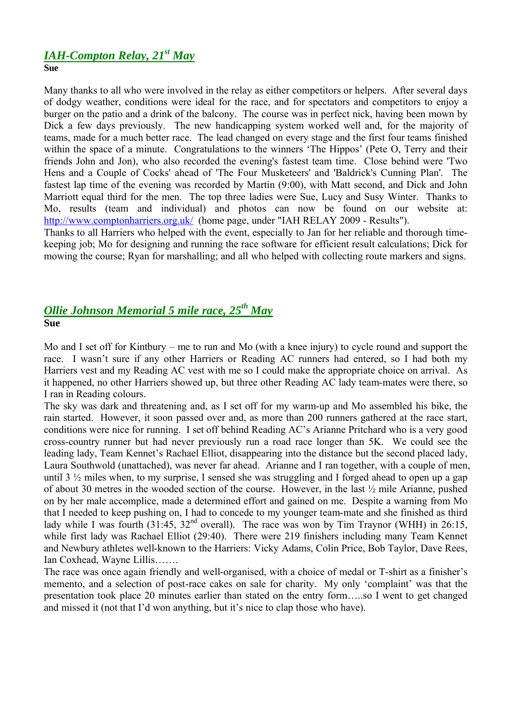# *IAH-Compton Relay, 21st May*

#### **Sue**

Many thanks to all who were involved in the relay as either competitors or helpers. After several days of dodgy weather, conditions were ideal for the race, and for spectators and competitors to enjoy a burger on the patio and a drink of the balcony. The course was in perfect nick, having been mown by Dick a few days previously. The new handicapping system worked well and, for the majority of teams, made for a much better race. The lead changed on every stage and the first four teams finished within the space of a minute. Congratulations to the winners 'The Hippos' (Pete O, Terry and their friends John and Jon), who also recorded the evening's fastest team time. Close behind were 'Two Hens and a Couple of Cocks' ahead of 'The Four Musketeers' and 'Baldrick's Cunning Plan'. The fastest lap time of the evening was recorded by Martin (9:00), with Matt second, and Dick and John Marriott equal third for the men. The top three ladies were Sue, Lucy and Susy Winter. Thanks to Mo, results (team and individual) and photos can now be found on our website at: http://www.comptonharriers.org.uk/ (home page, under "IAH RELAY 2009 - Results").

Thanks to all Harriers who helped with the event, especially to Jan for her reliable and thorough timekeeping job; Mo for designing and running the race software for efficient result calculations; Dick for mowing the course; Ryan for marshalling; and all who helped with collecting route markers and signs.

## *Ollie Johnson Memorial 5 mile race, 25th May* **Sue**

Mo and I set off for Kintbury – me to run and Mo (with a knee injury) to cycle round and support the race. I wasn't sure if any other Harriers or Reading AC runners had entered, so I had both my Harriers vest and my Reading AC vest with me so I could make the appropriate choice on arrival. As it happened, no other Harriers showed up, but three other Reading AC lady team-mates were there, so I ran in Reading colours.

The sky was dark and threatening and, as I set off for my warm-up and Mo assembled his bike, the rain started. However, it soon passed over and, as more than 200 runners gathered at the race start, conditions were nice for running. I set off behind Reading AC's Arianne Pritchard who is a very good cross-country runner but had never previously run a road race longer than 5K. We could see the leading lady, Team Kennet's Rachael Elliot, disappearing into the distance but the second placed lady, Laura Southwold (unattached), was never far ahead. Arianne and I ran together, with a couple of men, until  $3\frac{1}{2}$  miles when, to my surprise, I sensed she was struggling and I forged ahead to open up a gap of about 30 metres in the wooded section of the course. However, in the last  $\frac{1}{2}$  mile Arianne, pushed on by her male accomplice, made a determined effort and gained on me. Despite a warning from Mo that I needed to keep pushing on, I had to concede to my younger team-mate and she finished as third lady while I was fourth (31:45,  $32<sup>nd</sup>$  overall). The race was won by Tim Traynor (WHH) in 26:15, while first lady was Rachael Elliot (29:40). There were 219 finishers including many Team Kennet and Newbury athletes well-known to the Harriers: Vicky Adams, Colin Price, Bob Taylor, Dave Rees, Ian Coxhead, Wayne Lillis…….

The race was once again friendly and well-organised, with a choice of medal or T-shirt as a finisher's memento, and a selection of post-race cakes on sale for charity. My only 'complaint' was that the presentation took place 20 minutes earlier than stated on the entry form…..so I went to get changed and missed it (not that I'd won anything, but it's nice to clap those who have).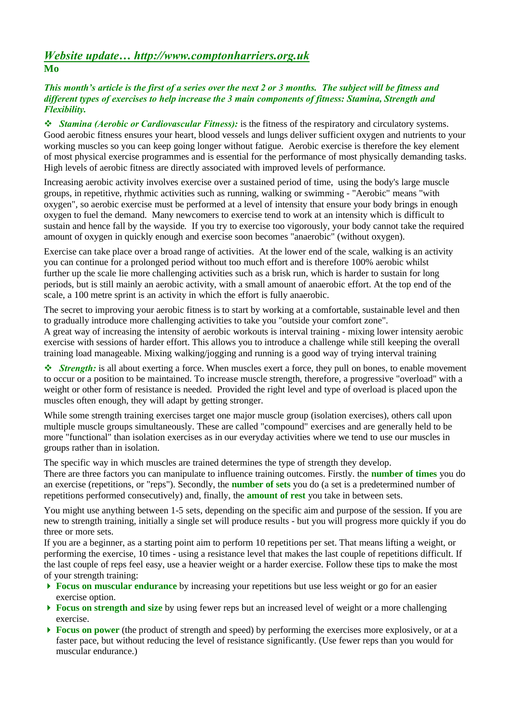#### *Website update… http://www.comptonharriers.org.uk* **Mo**

#### *This month's article is the first of a series over the next 2 or 3 months. The subject will be fitness and different types of exercises to help increase the 3 main components of fitness: Stamina, Strength and Flexibility.*

 *Stamina (Aerobic or Cardiovascular Fitness):* is the fitness of the respiratory and circulatory systems. Good aerobic fitness ensures your heart, blood vessels and lungs deliver sufficient oxygen and nutrients to your working muscles so you can keep going longer without fatigue. Aerobic exercise is therefore the key element of most physical exercise programmes and is essential for the performance of most physically demanding tasks. High levels of aerobic fitness are directly associated with improved levels of performance.

Increasing aerobic activity involves exercise over a sustained period of time, using the body's large muscle groups, in repetitive, rhythmic activities such as running, walking or swimming - "Aerobic" means "with oxygen", so aerobic exercise must be performed at a level of intensity that ensure your body brings in enough oxygen to fuel the demand. Many newcomers to exercise tend to work at an intensity which is difficult to sustain and hence fall by the wayside. If you try to exercise too vigorously, your body cannot take the required amount of oxygen in quickly enough and exercise soon becomes "anaerobic" (without oxygen).

Exercise can take place over a broad range of activities. At the lower end of the scale, walking is an activity you can continue for a prolonged period without too much effort and is therefore 100% aerobic whilst further up the scale lie more challenging activities such as a brisk run, which is harder to sustain for long periods, but is still mainly an aerobic activity, with a small amount of anaerobic effort. At the top end of the scale, a 100 metre sprint is an activity in which the effort is fully anaerobic.

The secret to improving your aerobic fitness is to start by working at a comfortable, sustainable level and then to gradually introduce more challenging activities to take you "outside your comfort zone".

A great way of increasing the intensity of aerobic workouts is interval training - mixing lower intensity aerobic exercise with sessions of harder effort. This allows you to introduce a challenge while still keeping the overall training load manageable. Mixing walking/jogging and running is a good way of trying interval training

 *Strength:* is all about exerting a force. When muscles exert a force, they pull on bones, to enable movement to occur or a position to be maintained. To increase muscle strength, therefore, a progressive "overload" with a weight or other form of resistance is needed. Provided the right level and type of overload is placed upon the muscles often enough, they will adapt by getting stronger.

While some strength training exercises target one major muscle group (isolation exercises), others call upon multiple muscle groups simultaneously. These are called "compound" exercises and are generally held to be more "functional" than isolation exercises as in our everyday activities where we tend to use our muscles in groups rather than in isolation.

The specific way in which muscles are trained determines the type of strength they develop.

There are three factors you can manipulate to influence training outcomes. Firstly. the **number of times** you do an exercise (repetitions, or "reps"). Secondly, the **number of sets** you do (a set is a predetermined number of repetitions performed consecutively) and, finally, the **amount of rest** you take in between sets.

You might use anything between 1-5 sets, depending on the specific aim and purpose of the session. If you are new to strength training, initially a single set will produce results - but you will progress more quickly if you do three or more sets.

If you are a beginner, as a starting point aim to perform 10 repetitions per set. That means lifting a weight, or performing the exercise, 10 times - using a resistance level that makes the last couple of repetitions difficult. If the last couple of reps feel easy, use a heavier weight or a harder exercise. Follow these tips to make the most of your strength training:

- **Focus on muscular endurance** by increasing your repetitions but use less weight or go for an easier exercise option.
- **Focus on strength and size** by using fewer reps but an increased level of weight or a more challenging exercise.
- **Focus on power** (the product of strength and speed) by performing the exercises more explosively, or at a faster pace, but without reducing the level of resistance significantly. (Use fewer reps than you would for muscular endurance.)